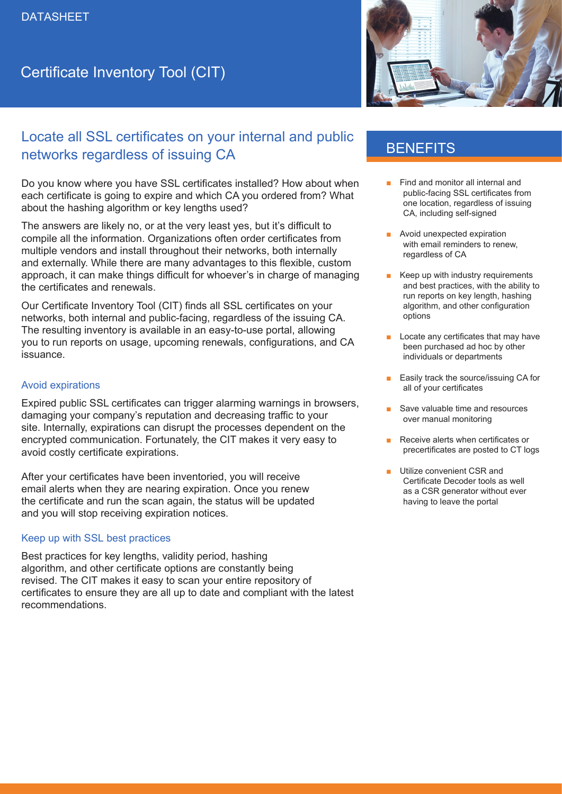# Certificate Inventory Tool (CIT)

# Locate all SSL certificates on your internal and public networks regardless of issuing CA

Do you know where you have SSL certificates installed? How about when each certificate is going to expire and which CA you ordered from? What about the hashing algorithm or key lengths used?

The answers are likely no, or at the very least yes, but it's difficult to compile all the information. Organizations often order certificates from multiple vendors and install throughout their networks, both internally and externally. While there are many advantages to this flexible, custom approach, it can make things difficult for whoever's in charge of managing the certificates and renewals.

Our Certificate Inventory Tool (CIT) finds all SSL certificates on your networks, both internal and public-facing, regardless of the issuing CA. The resulting inventory is available in an easy-to-use portal, allowing you to run reports on usage, upcoming renewals, configurations, and CA issuance.

### Avoid expirations

Expired public SSL certificates can trigger alarming warnings in browsers, damaging your company's reputation and decreasing traffic to your site. Internally, expirations can disrupt the processes dependent on the encrypted communication. Fortunately, the CIT makes it very easy to avoid costly certificate expirations.

After your certificates have been inventoried, you will receive email alerts when they are nearing expiration. Once you renew the certificate and run the scan again, the status will be updated and you will stop receiving expiration notices.

#### Keep up with SSL best practices

Best practices for key lengths, validity period, hashing algorithm, and other certificate options are constantly being revised. The CIT makes it easy to scan your entire repository of certificates to ensure they are all up to date and compliant with the latest recommendations.



## **BENEFITS**

- Find and monitor all internal and public-facing SSL certificates from one location, regardless of issuing CA, including self-signed
- Avoid unexpected expiration with email reminders to renew, regardless of CA
- Keep up with industry requirements and best practices, with the ability to run reports on key length, hashing algorithm, and other configuration options
- Locate any certificates that may have been purchased ad hoc by other individuals or departments
- Easily track the source/issuing CA for all of your certificates
- Save valuable time and resources over manual monitoring
- Receive alerts when certificates or precertificates are posted to CT logs
- Utilize convenient CSR and Certificate Decoder tools as well as a CSR generator without ever having to leave the portal